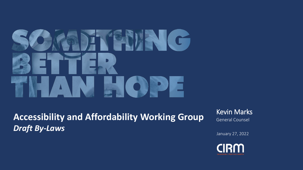# **ENCO** ▛▆

**Accessibility and Affordability Working Group** *Draft By-Laws* 

Kevin Marks General Counsel

January 27, 2022

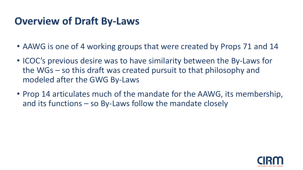## **Overview of Draft By -Laws**

- AAWG is one of 4 working groups that were created by Props 71 and 14
- ICOC's previous desire was to have similarity between the By-Laws for the WGs – so this draft was created pursuit to that philosophy and modeled after the GWG By-Laws
- Prop 14 articulates much of the mandate for the AAWG, its membership, and its functions – so By-Laws follow the mandate closely

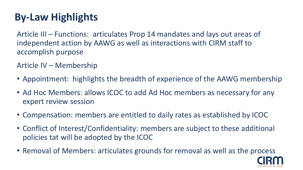## **By-Law Highlights**

Article III – Functions: articulates Prop 14 mandates and lays out areas of independent action by AAWG as well as interactions with CIRM staff to accomplish purpose

Article IV – Membership

- Appointment: highlights the breadth of experience of the AAWG membership
- Ad Hoc Members: allows ICOC to add Ad Hoc members as necessary for any expert review session
- Compensation: members are entitled to daily rates as established by ICOC
- Conflict of Interest/Confidentiality: members are subject to these additional policies tat will be adopted by the ICOC
- Removal of Members: articulates grounds for removal as well as the process

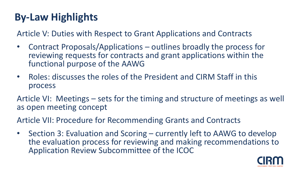### **By-Law Highlights**

Article V: Duties with Respect to Grant Applications and Contracts

- Contract Proposals/Applications outlines broadly the process for reviewing requests for contracts and grant applications within the functional purpose of the AAWG
- Roles: discusses the roles of the President and CIRM Staff in this process

Article VI: Meetings – sets for the timing and structure of meetings as well as open meeting concept

Article VII: Procedure for Recommending Grants and Contracts

• Section 3: Evaluation and Scoring – currently left to AAWG to develop the evaluation process for reviewing and making recommendations to Application Review Subcommittee of the ICOC